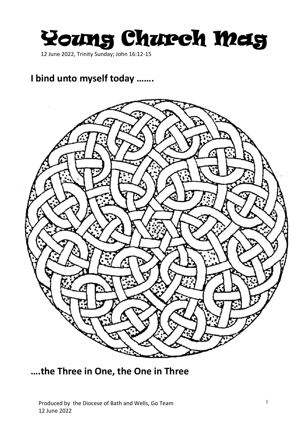Young Church Meig

12 June 2022, Trinity Sunday; John 16:12-15

## **I bind unto myself today …….**



**….the Three in One, the One in Three**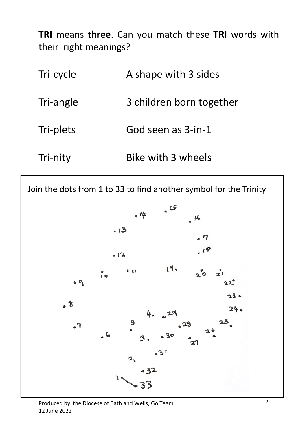**TRI** means **three**. Can you match these **TRI** words with their right meanings?

| Tri-cycle | A shape with 3 sides     |
|-----------|--------------------------|
| Tri-angle | 3 children born together |
| Tri-plets | God seen as 3-in-1       |
| Tri-nity  | Bike with 3 wheels       |

Join the dots from 1 to 33 to find another symbol for the Trinity

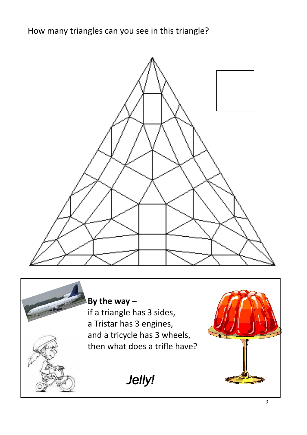How many triangles can you see in this triangle?





**By the way –** if a triangle has 3 sides, a Tristar has 3 engines, and a tricycle has 3 wheels, then what does a trifle have?

*Jelly!*